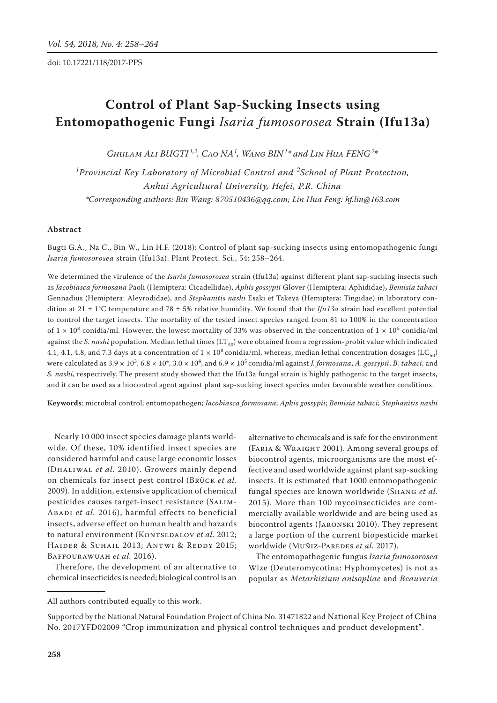# **Control of Plant Sap-Sucking Insects using Entomopathogenic Fungi** *Isaria fumosorosea* **Strain (Ifu13a)**

 $G$ *HULAM ALI BUGTI*<sup>1,2</sup>, CAO NA<sup>1</sup>, WANG BIN<sup>1</sup>\* and LIN HuA FENG<sup>2\*</sup>

*1 Provincial Key Laboratory of Microbial Control and <sup>2</sup> School of Plant Protection, Anhui Agricultural University, Hefei, P.R. China \*Corresponding authors: Bin Wang: 870510436@qq.com; Lin Hua Feng: hf.lin@163.com*

### **Abstract**

Bugti G.A., Na C., Bin W., Lin H.F. (2018): Control of plant sap-sucking insects using entomopathogenic fungi *Isaria fumosorosea* strain (Ifu13a). Plant Protect. Sci., 54: 258–264.

We determined the virulence of the *Isaria fumosorosea* strain (Ifu13a) against different plant sap-sucking insects such as *Jacobiasca formosana* Paoli (Hemiptera: Cicadellidae), *Aphis gossypii* Glover (Hemiptera: Aphididae)**,** *Bemisia tabaci*  Gennadius (Hemiptera: Aleyrodidae), and *Stephanitis nashi* Esaki et Takeya (Hemiptera: Tingidae) in laboratory condition at 21 ± 1°C temperature and 78 ± 5% relative humidity. We found that the *Ifu13a* strain had excellent potential to control the target insects. The mortality of the tested insect species ranged from 81 to 100% in the concentration of  $1 \times 10^8$  conidia/ml. However, the lowest mortality of 33% was observed in the concentration of  $1 \times 10^5$  conidia/ml against the *S. nashi* population. Median lethal times (LT<sub>50</sub>) were obtained from a regression-probit value which indicated 4.1, 4.1, 4.8, and 7.3 days at a concentration of  $1 \times 10^8$  conidia/ml, whereas, median lethal concentration dosages (LC<sub>50</sub>) were calculated as 3.9  $\times$  10<sup>3</sup>, 6.8  $\times$  10<sup>4</sup>, 3.0  $\times$  10<sup>4</sup>, and 6.9  $\times$  10<sup>5</sup> conidia/ml against *J. formosana, A. gossypii, B. tabaci,* and *S. nashi*, respectively. The present study showed that the Ifu13a fungal strain is highly pathogenic to the target insects, and it can be used as a biocontrol agent against plant sap-sucking insect species under favourable weather conditions.

**Keywords**: microbial control; entomopathogen; *Jacobiasca formosana*; *Aphis gossypii*; *Bemisia tabaci*; *Stephanitis nashi* 

Nearly 10 000 insect species damage plants worldwide. Of these, 10% identified insect species are considered harmful and cause large economic losses (Dhaliwal *et al.* 2010). Growers mainly depend on chemicals for insect pest control (Brück *et al.* 2009). In addition, extensive application of chemical pesticides causes target-insect resistance (Salim-Abadi *et al.* 2016), harmful effects to beneficial insects, adverse effect on human health and hazards to natural environment (KONTSEDALOV et al. 2012; HAIDER & SUHAIL 2013; ANTWI & REDDY 2015; Baffourawuah *et al.* 2016).

Therefore, the development of an alternative to chemical insecticides is needed; biological control is an

alternative to chemicals and is safe for the environment (Faria & Wraight 2001). Among several groups of biocontrol agents, microorganisms are the most effective and used worldwide against plant sap-sucking insects. It is estimated that 1000 entomopathogenic fungal species are known worldwide (Shang *et al*. 2015). More than 100 mycoinsecticides are commercially available worldwide and are being used as biocontrol agents (Jaronski 2010). They represent a large portion of the current biopesticide market worldwide (MUÑIZ-PAREDES et al. 2017).

The entomopathogenic fungus *Isaria fumosorosea* Wize (Deuteromycotina: Hyphomycetes) is not as popular as *Metarhizium anisopliae* and *Beauveria*

All authors contributed equally to this work.

Supported by the National Natural Foundation Project of China No. 31471822 and National Key Project of China No. 2017YFD02009 "Crop immunization and physical control techniques and product development".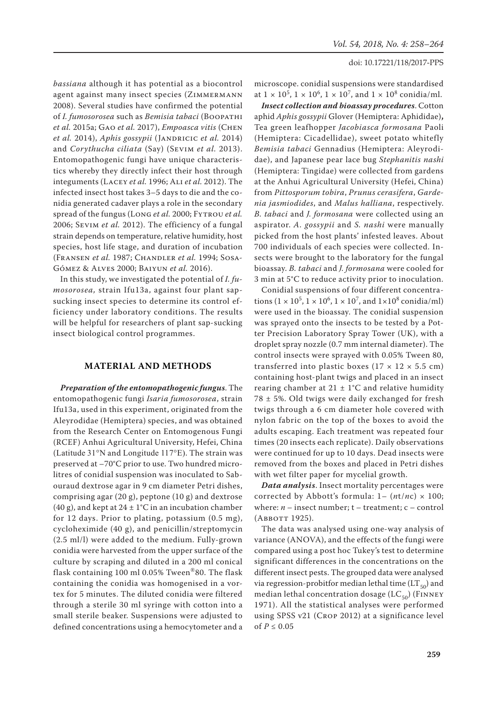*bassiana* although it has potential as a biocontrol agent against many insect species (ZIMMERMANN 2008). Several studies have confirmed the potential of *I. fumosorosea* such as *Bemisia tabaci* (Boopathi *et al.* 2015a; Gao *et al.* 2017), *Empoasca vitis* (Chen *et al.* 2014), *Aphis gossypii* (JANDRICIC *et al.* 2014) and *Corythucha ciliata* (Say) (Sevim *et al.* 2013). Entomopathogenic fungi have unique characteristics whereby they directly infect their host through integuments (Lacey *et al.* 1996; Ali *et al.* 2012). The infected insect host takes 3–5 days to die and the conidia generated cadaver plays a role in the secondary spread of the fungus (Long *et al.* 2000; Fytrou *et al.* 2006; Sevim *et al.* 2012). The efficiency of a fungal strain depends on temperature, relative humidity, host species, host life stage, and duration of incubation (Fransen *et al.* 1987; Chandler *et al.* 1994; Sosa-Gómez & Alves 2000; Baiyun *et al.* 2016).

In this study, we investigated the potential of *I. fumosorosea,* strain Ifu13a, against four plant sapsucking insect species to determine its control efficiency under laboratory conditions. The results will be helpful for researchers of plant sap-sucking insect biological control programmes.

## **MATERIAL AND METHODS**

*Preparation of the entomopathogenic fungus*. The entomopathogenic fungi *Isaria fumosorosea*, strain Ifu13a, used in this experiment, originated from the Aleyrodidae (Hemiptera) species, and was obtained from the Research Center on Entomogenous Fungi (RCEF) Anhui Agricultural University, Hefei, China (Latitude 31°N and Longitude 117°E). The strain was preserved at –70°C prior to use. Two hundred microlitres of conidial suspension was inoculated to Sabouraud dextrose agar in 9 cm diameter Petri dishes, comprising agar (20 g), peptone (10 g) and dextrose (40 g), and kept at  $24 \pm 1$ °C in an incubation chamber for 12 days. Prior to plating, potassium (0.5 mg), cycloheximide (40 g), and penicillin/streptomycin (2.5 ml/l) were added to the medium. Fully-grown conidia were harvested from the upper surface of the culture by scraping and diluted in a 200 ml conical flask containing 100 ml 0.05% Tween®80. The flask containing the conidia was homogenised in a vortex for 5 minutes. The diluted conidia were filtered through a sterile 30 ml syringe with cotton into a small sterile beaker. Suspensions were adjusted to defined concentrations using a hemocytometer and a microscope. conidial suspensions were standardised at  $1 \times 10^5$ ,  $1 \times 10^6$ ,  $1 \times 10^7$ , and  $1 \times 10^8$  conidia/ml.

*Insect collection and bioassay procedures*. Cotton aphid *Aphis gossypii* Glover (Hemiptera: Aphididae)**,**  Tea green leafhopper *Jacobiasca formosana* Paoli (Hemiptera: Cicadellidae), sweet potato whitefly *Bemisia tabaci* Gennadius (Hemiptera: Aleyrodidae), and Japanese pear lace bug *Stephanitis nashi* (Hemiptera: Tingidae) were collected from gardens at the Anhui Agricultural University (Hefei, China) from *Pittosporum tobira*, *Prunus cerasifera*, *Gardenia jasmiodides*, and *Malus halliana*, respectively. *B. tabaci* and *J. formosana* were collected using an aspirator. *A. gossypii* and *S. nashi* were manually picked from the host plants' infested leaves. About 700 individuals of each species were collected. Insects were brought to the laboratory for the fungal bioassay. *B. tabaci* and *J. formosana* were cooled for 3 min at 5°C to reduce activity prior to inoculation.

Conidial suspensions of four different concentrations  $(1 \times 10^5, 1 \times 10^6, 1 \times 10^7, \text{ and } 1 \times 10^8 \text{ conidian/ml})$ were used in the bioassay. The conidial suspension was sprayed onto the insects to be tested by a Potter Precision Laboratory Spray Tower (UK), with a droplet spray nozzle (0.7 mm internal diameter). The control insects were sprayed with 0.05% Tween 80, transferred into plastic boxes ( $17 \times 12 \times 5.5$  cm) containing host-plant twigs and placed in an insect rearing chamber at  $21 \pm 1$ °C and relative humidity  $78 \pm 5$ %. Old twigs were daily exchanged for fresh twigs through a 6 cm diameter hole covered with nylon fabric on the top of the boxes to avoid the adults escaping. Each treatment was repeated four times (20 insects each replicate). Daily observations were continued for up to 10 days. Dead insects were removed from the boxes and placed in Petri dishes with wet filter paper for mycelial growth.

*Data analysis*. Insect mortality percentages were corrected by Abbott's formula:  $1 - (nt/nc) \times 100$ ; where:  $n -$  insect number;  $t -$  treatment;  $c -$  control (Abbott 1925).

The data was analysed using one-way analysis of variance (ANOVA), and the effects of the fungi were compared using a post hoc Tukey's test to determine significant differences in the concentrations on the different insect pests. The grouped data were analysed via regression-probitfor median lethal time  $(LT_{50})$  and median lethal concentration dosage  $(LC_{50})$  (FINNEY 1971). All the statistical analyses were performed using SPSS v21 (Crop 2012) at a significance level of  $P \leq 0.05$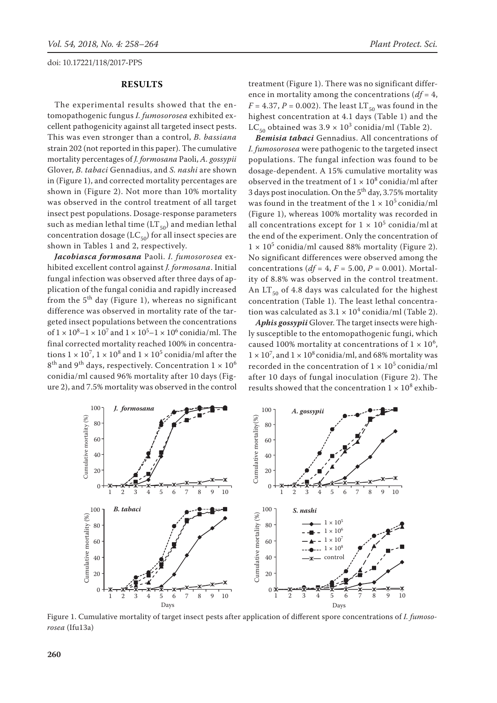## **Results**

The experimental results showed that the entomopathogenic fungus *I. fumosorosea* exhibited excellent pathogenicity against all targeted insect pests. This was even stronger than a control, *B. bassiana* strain 202 (not reported in this paper). The cumulative mortality percentages of *J. formosana* Paoli, *A. gossypii* Glover, *B. tabaci* Gennadius, and *S. nashi* are shown in (Figure 1), and corrected mortality percentages are shown in (Figure 2). Not more than 10% mortality was observed in the control treatment of all target insect pest populations. Dosage-response parameters such as median lethal time  $(LT_{50})$  and median lethal concentration dosage ( $LC_{50}$ ) for all insect species are shown in Tables 1 and 2, respectively.

*Jacobiasca formosana* Paoli. *I. fumosorosea* exhibited excellent control against *J. formosana*. Initial fungal infection was observed after three days of application of the fungal conidia and rapidly increased from the  $5<sup>th</sup>$  day (Figure 1), whereas no significant difference was observed in mortality rate of the targeted insect populations between the concentrations of  $1 \times 10^8$ – $1 \times 10^7$  and  $1 \times 10^5$ – $1 \times 10^6$  conidia/ml. The final corrected mortality reached 100% in concentrations  $1 \times 10^7$ ,  $1 \times 10^8$  and  $1 \times 10^5$  conidia/ml after the  $8<sup>th</sup>$  and 9<sup>th</sup> days, respectively. Concentration  $1 \times 10<sup>6</sup>$ conidia/ml caused 96% mortality after 10 days (Figure 2), and 7.5% mortality was observed in the control

treatment (Figure 1). There was no significant difference in mortality among the concentrations (*df* = 4,  $F = 4.37$ ,  $P = 0.002$ ). The least LT<sub>50</sub> was found in the highest concentration at 4.1 days (Table 1) and the  $LC_{50}$  obtained was  $3.9 \times 10^3$  conidia/ml (Table 2).

*Bemisia tabaci* Gennadius. All concentrations of *I. fumosorosea* were pathogenic to the targeted insect populations. The fungal infection was found to be dosage-dependent. A 15% cumulative mortality was observed in the treatment of  $1 \times 10^8$  conidia/ml after 3 days post inoculation. On the  $5<sup>th</sup>$  day, 3.75% mortality was found in the treatment of the  $1 \times 10^5$  conidia/ml (Figure 1), whereas 100% mortality was recorded in all concentrations except for  $1 \times 10^5$  conidia/ml at the end of the experiment. Only the concentration of  $1 \times 10^5$  conidia/ml caused 88% mortality (Figure 2). No significant differences were observed among the concentrations (*df* = 4, *F* = 5.00, *P* = 0.001). Mortality of 8.8% was observed in the control treatment. An  $LT_{50}$  of 4.8 days was calculated for the highest concentration (Table 1). The least lethal concentration was calculated as  $3.1 \times 10^4$  conidia/ml (Table 2).

*Aphis gossypii* Glover. The target insects were highly susceptible to the entomopathogenic fungi, which caused 100% mortality at concentrations of  $1 \times 10^6$ ,  $1 \times 10^7$ , and  $1 \times 10^8$  conidia/ml, and 68% mortality was recorded in the concentration of  $1 \times 10^5$  conidia/ml after 10 days of fungal inoculation (Figure 2). The results showed that the concentration  $1 \times 10^8$  exhib-



Figure 1. Cumulative mortality of target insect pests after application of different spore concentrations of *I. fumosorosea* (Ifu13a)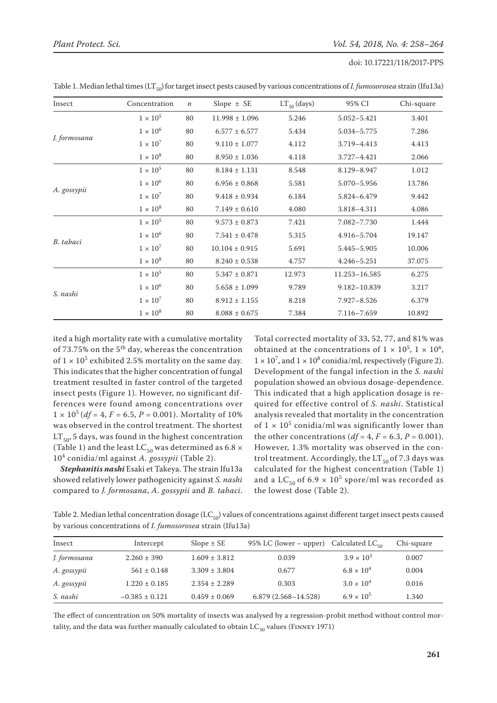| Insect       | Concentration   | $\boldsymbol{n}$ | Slope $\pm$ SE     | $LT_{50}$ (days) | 95% CI          | Chi-square |
|--------------|-----------------|------------------|--------------------|------------------|-----------------|------------|
| J. formosana | $1\times10^5$   | 80               | $11.998 \pm 1.096$ | 5.246            | $5.052 - 5.421$ | 3.401      |
|              | $1 \times 10^6$ | 80               | $6.577 \pm 6.577$  | 5.434            | 5.034-5.775     | 7.286      |
|              | $1 \times 10^7$ | 80               | $9.110 \pm 1.077$  | 4.112            | 3.719-4.413     | 4.413      |
|              | $1 \times 10^8$ | 80               | $8.950 \pm 1.036$  | 4.118            | 3.727-4.421     | 2.066      |
| A. gossypii  | $1\times10^5$   | 80               | $8.184 \pm 1.131$  | 8.548            | 8.129-8.947     | 1.012      |
|              | $1 \times 10^6$ | 80               | $6.956 \pm 0.868$  | 5.581            | 5.070-5.956     | 13.786     |
|              | $1 \times 10^7$ | 80               | $9.418 \pm 0.934$  | 6.184            | 5.824-6.479     | 9.442      |
|              | $1 \times 10^8$ | 80               | $7.149 \pm 0.610$  | 4.080            | 3.818-4.311     | 4.086      |
| B. tabaci    | $1\times10^5$   | 80               | $9.573 \pm 0.873$  | 7.421            | 7.082-7.730     | 1.444      |
|              | $1 \times 10^6$ | 80               | $7.541 \pm 0.478$  | 5.315            | 4.916-5.704     | 19.147     |
|              | $1 \times 10^7$ | 80               | $10.104 \pm 0.915$ | 5.691            | 5.445-5.905     | 10.006     |
|              | $1 \times 10^8$ | 80               | $8.240 \pm 0.538$  | 4.757            | $4.246 - 5.251$ | 37.075     |
| S. nashi     | $1\times10^5$   | 80               | $5.347 \pm 0.871$  | 12.973           | 11.253-16.585   | 6.275      |
|              | $1 \times 10^6$ | 80               | $5.658 \pm 1.099$  | 9.789            | 9.182-10.839    | 3.217      |
|              | $1 \times 10^7$ | 80               | $8.912 \pm 1.155$  | 8.218            | $7.927 - 8.526$ | 6.379      |
|              | $1 \times 10^8$ | 80               | $8.088 \pm 0.675$  | 7.384            | 7.116-7.659     | 10.892     |

Table 1. Median lethal times (LT<sub>50</sub>) for target insect pests caused by various concentrations of *I. fumosorosea* strain (Ifu13a)

ited a high mortality rate with a cumulative mortality of 73.75% on the  $5<sup>th</sup>$  day, whereas the concentration of  $1 \times 10^5$  exhibited 2.5% mortality on the same day. This indicates that the higher concentration of fungal treatment resulted in faster control of the targeted insect pests (Figure 1). However, no significant differences were found among concentrations over  $1 \times 10^5$  (*df* = 4, *F* = 6.5, *P* = 0.001). Mortality of 10% was observed in the control treatment. The shortest  $LT_{50}$ , 5 days, was found in the highest concentration (Table 1) and the least LC<sub>50</sub> was determined as 6.8  $\times$ 10<sup>4</sup> conidia/ml against *A. gossypii* (Table 2).

*Stephanitis nashi* Esaki et Takeya. The strain Ifu13a showed relatively lower pathogenicity against *S. nashi* compared to *J. formosana*, *A. gossypii* and *B. tabaci*. Total corrected mortality of 33, 52, 77, and 81% was obtained at the concentrations of  $1 \times 10^5$ ,  $1 \times 10^6$ ,  $1 \times 10^7$ , and  $1 \times 10^8$  conidia/ml, respectively (Figure 2). Development of the fungal infection in the *S. nashi* population showed an obvious dosage-dependence. This indicated that a high application dosage is required for effective control of *S. nashi*. Statistical analysis revealed that mortality in the concentration of  $1 \times 10^5$  conidia/ml was significantly lower than the other concentrations ( $df = 4$ ,  $F = 6.3$ ,  $P = 0.001$ ). However, 1.3% mortality was observed in the control treatment. Accordingly, the  $LT_{50}$  of 7.3 days was calculated for the highest concentration (Table 1) and a LC<sub>50</sub> of 6.9  $\times$  10<sup>5</sup> spore/ml was recorded as the lowest dose (Table 2).

Table 2. Median lethal concentration dosage ( $LC_{50}$ ) values of concentrations against different target insect pests caused by various concentrations of *I. fumosorosea* strain (Ifu13a)

| Insect       | Intercept          | $Slope \pm SE$    | 95% LC (lower – upper) Calculated LC <sub>50</sub> |                     | Chi-square |
|--------------|--------------------|-------------------|----------------------------------------------------|---------------------|------------|
| J. formosana | $2.260 \pm 390$    | $1.609 \pm 3.812$ | 0.039                                              | $3.9 \times 10^{3}$ | 0.007      |
| A. gossypii  | $561 \pm 0.148$    | $3.309 \pm 3.804$ | 0.677                                              | $6.8 \times 10^{4}$ | 0.004      |
| A. gossypii  | $1.220 \pm 0.185$  | $2.354 \pm 2.289$ | 0.303                                              | $3.0 \times 10^{4}$ | 0.016      |
| S. nashi     | $-0.385 \pm 0.121$ | $0.459 \pm 0.069$ | 6.879 (2.568-14.528)                               | $6.9 \times 10^{5}$ | 1.340      |

The effect of concentration on 50% mortality of insects was analysed by a regression-probit method without control mortality, and the data was further manually calculated to obtain  $LC_{50}$  values (FINNEY 1971)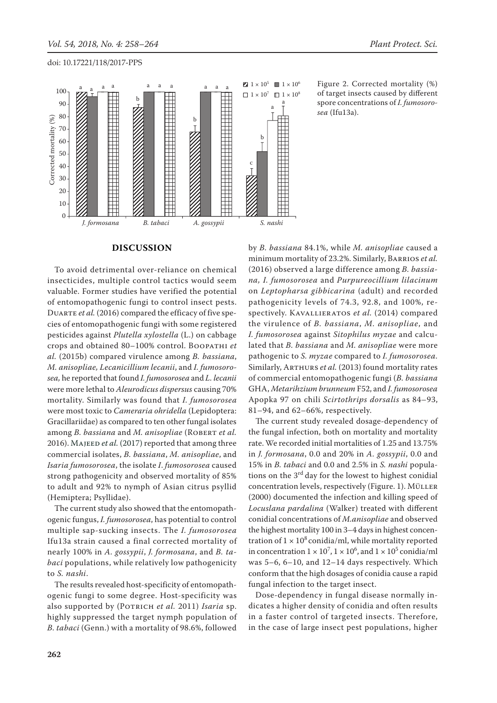

Figure 2. Corrected mortality (%) of target insects caused by different spore concentrations of *I. fumosorosea* (Ifu13a).

### **DISCUSSION**

To avoid detrimental over-reliance on chemical insecticides, multiple control tactics would seem valuable. Former studies have verified the potential of entomopathogenic fungi to control insect pests. DUARTE et al. (2016) compared the efficacy of five species of entomopathogenic fungi with some registered pesticides against *Plutella xylostella* (L.) on cabbage crops and obtained 80–100% control. Boopathi *et al.* (2015b) compared virulence among *B. bassiana*, *M. anisopliae, Lecanicillium lecanii*, and *I. fumosorosea,* he reported that found *I. fumosorosea* and *L. lecanii* were more lethal to *Aleurodicus dispersus* causing 70% mortality. Similarly was found that *I. fumosorosea* were most toxic to *Cameraria ohridella* (Lepidoptera: Gracillariidae) as compared to ten other fungal isolates among *B. bassiana* and *M. anisopliae* (ROBERT et al. 2016). MAJEED et al. (2017) reported that among three commercial isolates, *B. bassiana*, *M. anisopliae*, and *Isaria fumosorosea*, the isolate *I*. *fumosorosea* caused strong pathogenicity and observed mortality of 85% to adult and 92% to nymph of Asian citrus psyllid (Hemiptera; Psyllidae).

The current study also showed that the entomopathogenic fungus, *I. fumosorosea*, has potential to control multiple sap-sucking insects. The *I. fumosorosea*  Ifu13a strain caused a final corrected mortality of nearly 100% in *A. gossypii*, *J. formosana*, and *B. tabaci* populations, while relatively low pathogenicity to *S. nashi*.

The results revealed host-specificity of entomopathogenic fungi to some degree. Host-specificity was also supported by (Potrich *et al.* 2011) *Isaria* sp. highly suppressed the target nymph population of *B. tabaci* (Genn.) with a mortality of 98.6%, followed

by *B. bassiana* 84.1%, while *M. anisopliae* caused a minimum mortality of 23.2%. Similarly, Barrios *et al.* (2016) observed a large difference among *B. bassiana, I. fumosorosea* and *Purpureocillium lilacinum* on *Leptopharsa gibbicarina* (adult) and recorded pathogenicity levels of 74.3, 92.8, and 100%, respectively. Kavallieratos *et al.* (2014) compared the virulence of *B. bassiana*, *M. anisopliae*, and *I. fumosorosea* against *Sitophilus myzae* and calculated that *B. bassiana* and *M. anisopliae* were more pathogenic to *S. myzae* compared to *I. fumosorosea.*  Similarly, Arthurs *et al.* (2013) found mortality rates of commercial entomopathogenic fungi (*B. bassiana* GHA, *Metarihzium brunneum* F52, and *I. fumosorosea*  Apopka 97 on chili *Scirtothrips dorsalis* as 84–93, 81–94, and 62–66%, respectively.

The current study revealed dosage-dependency of the fungal infection, both on mortality and mortality rate. We recorded initial mortalities of 1.25 and 13.75% in *J. formosana*, 0.0 and 20% in *A. gossypii*, 0.0 and 15% in *B. tabaci* and 0.0 and 2.5% in *S. nashi* populations on the 3<sup>rd</sup> day for the lowest to highest conidial concentration levels, respectively (Figure. 1). Müller (2000) documented the infection and killing speed of *Locuslana pardalina* (Walker) treated with different conidial concentrations of *M.anisopliae* and observed the highest mortality 100 in 3–4 days in highest concentration of  $1 \times 10^8$  conidia/ml, while mortality reported in concentration  $1 \times 10^7$ ,  $1 \times 10^6$ , and  $1 \times 10^5$  conidia/ml was 5–6, 6–10, and 12–14 days respectively. Which conform that the high dosages of conidia cause a rapid fungal infection to the target insect.

Dose-dependency in fungal disease normally indicates a higher density of conidia and often results in a faster control of targeted insects. Therefore, in the case of large insect pest populations, higher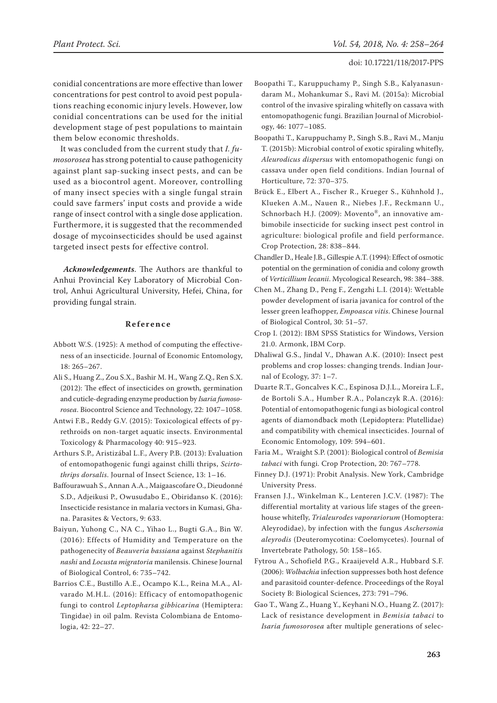conidial concentrations are more effective than lower concentrations for pest control to avoid pest populations reaching economic injury levels. However, low conidial concentrations can be used for the initial development stage of pest populations to maintain them below economic thresholds.

It was concluded from the current study that *I. fumosorosea* has strong potential to cause pathogenicity against plant sap-sucking insect pests, and can be used as a biocontrol agent. Moreover, controlling of many insect species with a single fungal strain could save farmers' input costs and provide a wide range of insect control with a single dose application. Furthermore, it is suggested that the recommended dosage of mycoinsecticides should be used against targeted insect pests for effective control.

*Acknowledgements*. The Authors are thankful to Anhui Provincial Key Laboratory of Microbial Control, Anhui Agricultural University, Hefei, China, for providing fungal strain.

## **Reference**

- Abbott W.S. (1925): A method of computing the effectiveness of an insecticide. Journal of Economic Entomology, 18: 265–267.
- Ali S., Huang Z., Zou S.X., Bashir M. H., Wang Z.Q., Ren S.X. (2012): The effect of insecticides on growth, germination and cuticle-degrading enzyme production by *Isaria fumosorosea*. Biocontrol Science and Technology, 22: 1047–1058.
- Antwi F.B., Reddy G.V. (2015): Toxicological effects of pyrethroids on non-target aquatic insects. Environmental Toxicology & Pharmacology 40: 915–923.
- Arthurs S.P., Aristizábal L.F., Avery P.B. (2013): Evaluation of entomopathogenic fungi against chilli thrips, *Scirtothrips dorsalis*. Journal of Insect Science, 13: 1–16.
- Baffourawuah S., Annan A.A., Maigaascofare O., Dieudonné S.D., Adjeikusi P., Owusudabo E., Obiridanso K. (2016): Insecticide resistance in malaria vectors in Kumasi, Ghana. Parasites & Vectors, 9: 633.
- Baiyun, Yuhong C., NA C., Yihao L., Bugti G.A., Bin W. (2016): Effects of Humidity and Temperature on the pathogenecity of *Beauveria bassiana* against *Stephanitis nashi* and *Locusta migratoria* manilensis. Chinese Journal of Biological Control, 6: 735–742.
- Barrios C.E., Bustillo A.E., Ocampo K.L., Reina M.A., Alvarado M.H.L. (2016): Efficacy of entomopathogenic fungi to control *Leptopharsa gibbicarina* (Hemiptera: Tingidae) in oil palm. Revista Colombiana de Entomologia, 42: 22–27.
- Boopathi T., Karuppuchamy P., Singh S.B., Kalyanasundaram M., Mohankumar S., Ravi M. (2015a): Microbial control of the invasive spiraling whitefly on cassava with entomopathogenic fungi. Brazilian Journal of Microbiology, 46: 1077–1085.
- Boopathi T., Karuppuchamy P., Singh S.B., Ravi M., Manju T. (2015b): Microbial control of exotic spiraling whitefly, *Aleurodicus dispersus* with entomopathogenic fungi on cassava under open field conditions. Indian Journal of Horticulture, 72: 370–375.
- Brück E., Elbert A., Fischer R., Krueger S., Kühnhold J., Klueken A.M., Nauen R., Niebes J.F., Reckmann U., Schnorbach H.J. (2009): Movento®, an innovative ambimobile insecticide for sucking insect pest control in agriculture: biological profile and field performance. Crop Protection, 28: 838–844.
- Chandler D., Heale J.B., Gillespie A.T. (1994): Effect of osmotic potential on the germination of conidia and colony growth of *Verticillium lecanii*. Mycological Research, 98: 384–388.
- Chen M., Zhang D., Peng F., Zengzhi L.I. (2014): Wettable powder development of isaria javanica for control of the lesser green leafhopper, *Empoasca vitis*. Chinese Journal of Biological Control, 30: 51–57.
- Crop I. (2012): IBM SPSS Statistics for Windows, Version 21.0. Armonk, IBM Corp.
- Dhaliwal G.S., Jindal V., Dhawan A.K. (2010): Insect pest problems and crop losses: changing trends. Indian Journal of Ecology, 37: 1–7.
- Duarte R.T., Goncalves K.C., Espinosa D.J.L., Moreira L.F., de Bortoli S.A., Humber R.A., Polanczyk R.A. (2016): Potential of entomopathogenic fungi as biological control agents of diamondback moth (Lepidoptera: Plutellidae) and compatibility with chemical insecticides. Journal of Economic Entomology, 109: 594–601.
- Faria M., Wraight S.P. (2001): Biological control of *Bemisia tabaci* with fungi. Crop Protection, 20: 767–778.
- Finney D.J. (1971): Probit Analysis. New York, Cambridge University Press.
- Fransen J.J., Winkelman K., Lenteren J.C.V. (1987): The differential mortality at various life stages of the greenhouse whitefly, *Trialeurodes vaporariorum* (Homoptera: Aleyrodidae), by infection with the fungus *Aschersonia aleyrodis* (Deuteromycotina: Coelomycetes). Journal of Invertebrate Pathology, 50: 158–165.
- Fytrou A., Schofield P.G., Kraaijeveld A.R., Hubbard S.F. (2006): *Wolbachia* infection suppresses both host defence and parasitoid counter-defence. Proceedings of the Royal Society B: Biological Sciences, 273: 791–796.
- Gao T., Wang Z., Huang Y., Keyhani N.O., Huang Z. (2017): Lack of resistance development in *Bemisia tabaci* to *Isaria fumosorosea* after multiple generations of selec-